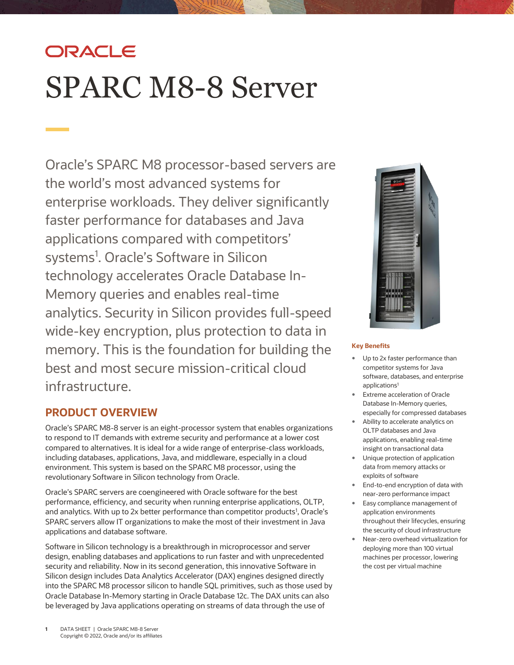# ORACLE SPARC M8-8 Server

Oracle's SPARC M8 processor-based servers are the world's most advanced systems for enterprise workloads. They deliver significantly faster performance for databases and Java applications compared with competitors' systems<sup>1</sup>. Oracle's Software in Silicon technology accelerates Oracle Database In-Memory queries and enables real-time analytics. Security in Silicon provides full-speed wide-key encryption, plus protection to data in memory. This is the foundation for building the best and most secure mission-critical cloud infrastructure.

# **PRODUCT OVERVIEW**

Oracle's SPARC M8-8 server is an eight-processor system that enables organizations to respond to IT demands with extreme security and performance at a lower cost compared to alternatives. It is ideal for a wide range of enterprise-class workloads, including databases, applications, Java, and middleware, especially in a cloud environment. This system is based on the SPARC M8 processor, using the revolutionary Software in Silicon technology from Oracle.

Oracle's SPARC servers are coengineered with Oracle software for the best performance, efficiency, and security when running enterprise applications, OLTP, and analytics. With up to 2x better performance than competitor products<sup>1</sup>, Oracle's SPARC servers allow IT organizations to make the most of their investment in Java applications and database software.

Software in Silicon technology is a breakthrough in microprocessor and server design, enabling databases and applications to run faster and with unprecedented security and reliability. Now in its second generation, this innovative Software in Silicon design includes Data Analytics Accelerator (DAX) engines designed directly into the SPARC M8 processor silicon to handle SQL primitives, such as those used by Oracle Database In-Memory starting in Oracle Database 12c. The DAX units can also be leveraged by Java applications operating on streams of data through the use of



# **Key Benefits**

- Up to 2x faster performance than competitor systems for Java software, databases, and enterprise applications<sup>1</sup>
- Extreme acceleration of Oracle Database In-Memory queries, especially for compressed databases
- Ability to accelerate analytics on OLTP databases and Java applications, enabling real-time insight on transactional data
- Unique protection of application data from memory attacks or exploits of software
- End-to-end encryption of data with near-zero performance impact
- Easy compliance management of application environments throughout their lifecycles, ensuring the security of cloud infrastructure
- Near-zero overhead virtualization for deploying more than 100 virtual machines per processor, lowering the cost per virtual machine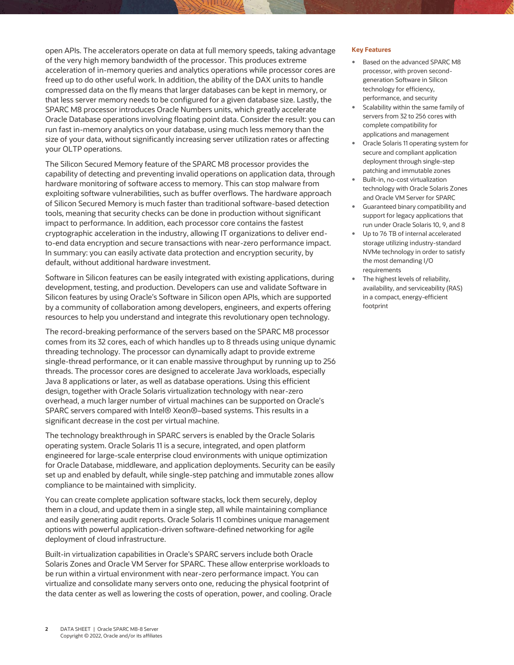open APIs. The accelerators operate on data at full memory speeds, taking advantage of the very high memory bandwidth of the processor. This produces extreme acceleration of in-memory queries and analytics operations while processor cores are freed up to do other useful work. In addition, the ability of the DAX units to handle compressed data on the fly means that larger databases can be kept in memory, or that less server memory needs to be configured for a given database size. Lastly, the SPARC M8 processor introduces Oracle Numbers units, which greatly accelerate Oracle Database operations involving floating point data. Consider the result: you can run fast in-memory analytics on your database, using much less memory than the size of your data, without significantly increasing server utilization rates or affecting your OLTP operations.

The Silicon Secured Memory feature of the SPARC M8 processor provides the capability of detecting and preventing invalid operations on application data, through hardware monitoring of software access to memory. This can stop malware from exploiting software vulnerabilities, such as buffer overflows. The hardware approach of Silicon Secured Memory is much faster than traditional software-based detection tools, meaning that security checks can be done in production without significant impact to performance. In addition, each processor core contains the fastest cryptographic acceleration in the industry, allowing IT organizations to deliver endto-end data encryption and secure transactions with near-zero performance impact. In summary: you can easily activate data protection and encryption security, by default, without additional hardware investment.

Software in Silicon features can be easily integrated with existing applications, during development, testing, and production. Developers can use and validate Software in Silicon features by using Oracle's Software in Silicon open APIs, which are supported by a community of collaboration among developers, engineers, and experts offering resources to help you understand and integrate this revolutionary open technology.

The record-breaking performance of the servers based on the SPARC M8 processor comes from its 32 cores, each of which handles up to 8 threads using unique dynamic threading technology. The processor can dynamically adapt to provide extreme single-thread performance, or it can enable massive throughput by running up to 256 threads. The processor cores are designed to accelerate Java workloads, especially Java 8 applications or later, as well as database operations. Using this efficient design, together with Oracle Solaris virtualization technology with near-zero overhead, a much larger number of virtual machines can be supported on Oracle's SPARC servers compared with Intel® Xeon®–based systems. This results in a significant decrease in the cost per virtual machine.

The technology breakthrough in SPARC servers is enabled by the Oracle Solaris operating system. Oracle Solaris 11 is a secure, integrated, and open platform engineered for large-scale enterprise cloud environments with unique optimization for Oracle Database, middleware, and application deployments. Security can be easily set up and enabled by default, while single-step patching and immutable zones allow compliance to be maintained with simplicity.

You can create complete application software stacks, lock them securely, deploy them in a cloud, and update them in a single step, all while maintaining compliance and easily generating audit reports. Oracle Solaris 11 combines unique management options with powerful application-driven software-defined networking for agile deployment of cloud infrastructure.

Built-in virtualization capabilities in Oracle's SPARC servers include both Oracle Solaris Zones and Oracle VM Server for SPARC. These allow enterprise workloads to be run within a virtual environment with near-zero performance impact. You can virtualize and consolidate many servers onto one, reducing the physical footprint of the data center as well as lowering the costs of operation, power, and cooling. Oracle

#### **Key Features**

- Based on the advanced SPARC M8 processor, with proven secondgeneration Software in Silicon technology for efficiency, performance, and security
- Scalability within the same family of servers from 32 to 256 cores with complete compatibility for applications and management
- Oracle Solaris 11 operating system for secure and compliant application deployment through single-step patching and immutable zones
- Built-in, no-cost virtualization technology with Oracle Solaris Zones and Oracle VM Server for SPARC
- Guaranteed binary compatibility and support for legacy applications that run under Oracle Solaris 10, 9, and 8
- Up to 76 TB of internal accelerated storage utilizing industry-standard NVMe technology in order to satisfy the most demanding I/O requirements
- The highest levels of reliability, availability, and serviceability (RAS) in a compact, energy-efficient footprint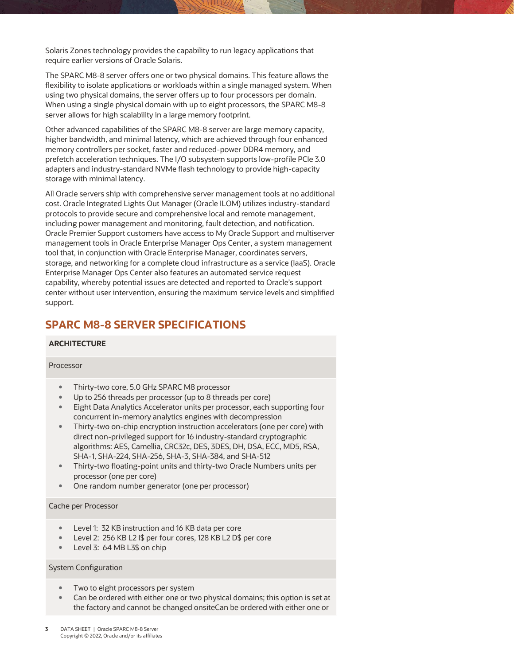Solaris Zones technology provides the capability to run legacy applications that require earlier versions of Oracle Solaris.

The SPARC M8-8 server offers one or two physical domains. This feature allows the flexibility to isolate applications or workloads within a single managed system. When using two physical domains, the server offers up to four processors per domain. When using a single physical domain with up to eight processors, the SPARC M8-8 server allows for high scalability in a large memory footprint.

Other advanced capabilities of the SPARC M8-8 server are large memory capacity, higher bandwidth, and minimal latency, which are achieved through four enhanced memory controllers per socket, faster and reduced-power DDR4 memory, and prefetch acceleration techniques. The I/O subsystem supports low-profile PCIe 3.0 adapters and industry-standard NVMe flash technology to provide high-capacity storage with minimal latency.

All Oracle servers ship with comprehensive server management tools at no additional cost. Oracle Integrated Lights Out Manager (Oracle ILOM) utilizes industry-standard protocols to provide secure and comprehensive local and remote management, including power management and monitoring, fault detection, and notification. Oracle Premier Support customers have access to My Oracle Support and multiserver management tools in Oracle Enterprise Manager Ops Center, a system management tool that, in conjunction with Oracle Enterprise Manager, coordinates servers, storage, and networking for a complete cloud infrastructure as a service (IaaS). Oracle Enterprise Manager Ops Center also features an automated service request capability, whereby potential issues are detected and reported to Oracle's support center without user intervention, ensuring the maximum service levels and simplified support.

# **SPARC M8-8 SERVER SPECIFICATIONS**

# **ARCHITECTURE**

#### Processor

- Thirty-two core, 5.0 GHz SPARC M8 processor
- Up to 256 threads per processor (up to 8 threads per core)
- Eight Data Analytics Accelerator units per processor, each supporting four concurrent in-memory analytics engines with decompression
- Thirty-two on-chip encryption instruction accelerators (one per core) with direct non-privileged support for 16 industry-standard cryptographic algorithms: AES, Camellia, CRC32c, DES, 3DES, DH, DSA, ECC, MD5, RSA, SHA-1, SHA-224, SHA-256, SHA-3, SHA-384, and SHA-512
- Thirty-two floating-point units and thirty-two Oracle Numbers units per processor (one per core)
- One random number generator (one per processor)

#### Cache per Processor

- Level 1: 32 KB instruction and 16 KB data per core
- Level 2: 256 KB L2 I\$ per four cores, 128 KB L2 D\$ per core
- Level 3: 64 MB L3\$ on chip

# System Configuration

- Two to eight processors per system
- Can be ordered with either one or two physical domains; this option is set at the factory and cannot be changed onsiteCan be ordered with either one or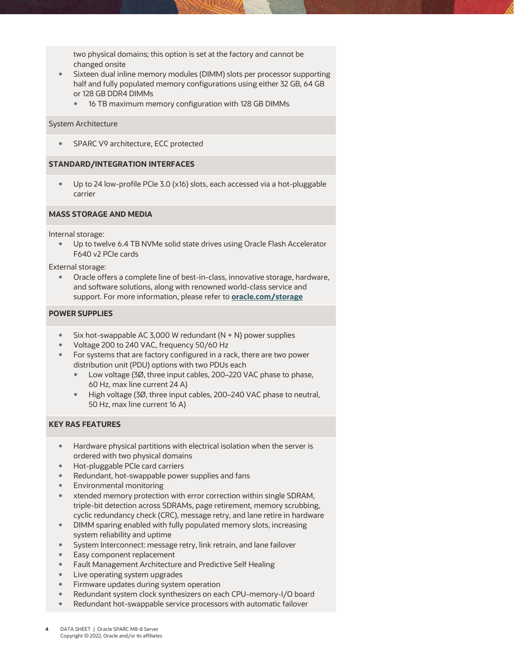two physical domains; this option is set at the factory and cannot be changed onsite

- Sixteen dual inline memory modules (DIMM) slots per processor supporting half and fully populated memory configurations using either 32 GB, 64 GB or 128 GB DDR4 DIMMs
	- 16 TB maximum memory configuration with 128 GB DIMMs

#### System Architecture

SPARC V9 architecture, ECC protected

#### **STANDARD/INTEGRATION INTERFACES**

 Up to 24 low-profile PCIe 3.0 (x16) slots, each accessed via a hot-pluggable carrier

## **MASS STORAGE AND MEDIA**

Internal storage:

 Up to twelve 6.4 TB NVMe solid state drives using Oracle Flash Accelerator F640 v2 PCIe cards

External storage:

 Oracle offers a complete line of best-in-class, innovative storage, hardware, and software solutions, along with renowned world-class service and support. For more information, please refer to **[oracle.com/storage](http://www.oracle.com/storage)**

### **POWER SUPPLIES**

- Six hot-swappable AC 3,000 W redundant  $(N + N)$  power supplies
- Voltage 200 to 240 VAC, frequency 50/60 Hz
- For systems that are factory configured in a rack, there are two power distribution unit (PDU) options with two PDUs each
	- Low voltage (3Ø, three input cables, 200–220 VAC phase to phase, 60 Hz, max line current 24 A)
	- High voltage (3Ø, three input cables, 200–240 VAC phase to neutral, 50 Hz, max line current 16 A)

# **KEY RAS FEATURES**

- Hardware physical partitions with electrical isolation when the server is ordered with two physical domains
- Hot-pluggable PCIe card carriers
- Redundant, hot-swappable power supplies and fans
- Environmental monitoring
- xtended memory protection with error correction within single SDRAM, triple-bit detection across SDRAMs, page retirement, memory scrubbing, cyclic redundancy check (CRC), message retry, and lane retire in hardware
- DIMM sparing enabled with fully populated memory slots, increasing system reliability and uptime
- System Interconnect: message retry, link retrain, and lane failover
- Easy component replacement
- Fault Management Architecture and Predictive Self Healing
- Live operating system upgrades
- Firmware updates during system operation
- Redundant system clock synthesizers on each CPU-memory-I/O board
- Redundant hot-swappable service processors with automatic failover
- **4** DATA SHEET | Oracle SPARC M8-8 Server Copyright © 2022, Oracle and/or its affiliates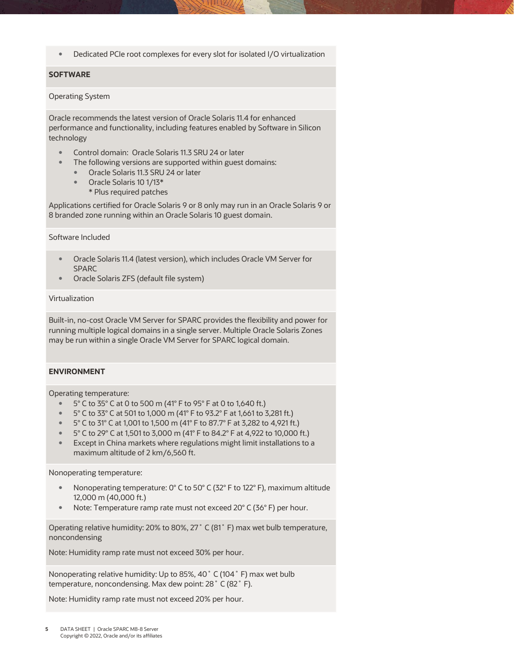Dedicated PCIe root complexes for every slot for isolated I/O virtualization

# **SOFTWARE**

# Operating System

Oracle recommends the latest version of Oracle Solaris 11.4 for enhanced performance and functionality, including features enabled by Software in Silicon technology

- Control domain: Oracle Solaris 11.3 SRU 24 or later
- The following versions are supported within guest domains:
	- Oracle Solaris 11.3 SRU 24 or later
	- Oracle Solaris 10 1/13\*
		- \* Plus required patches

Applications certified for Oracle Solaris 9 or 8 only may run in an Oracle Solaris 9 or 8 branded zone running within an Oracle Solaris 10 guest domain.

Software Included

- Oracle Solaris 11.4 (latest version), which includes Oracle VM Server for SPARC
- Oracle Solaris ZFS (default file system)

#### Virtualization

Built-in, no-cost Oracle VM Server for SPARC provides the flexibility and power for running multiple logical domains in a single server. Multiple Oracle Solaris Zones may be run within a single Oracle VM Server for SPARC logical domain.

# **ENVIRONMENT**

Operating temperature:

- 5° C to 35° C at 0 to 500 m (41° F to 95° F at 0 to 1,640 ft.)
- 5° C to 33° C at 501 to 1,000 m (41° F to 93.2° F at 1,661 to 3,281 ft.)
- 5° C to 31° C at 1,001 to 1,500 m (41° F to 87.7° F at 3,282 to 4,921 ft.)
- 5° C to 29° C at 1,501 to 3,000 m (41° F to 84.2° F at 4,922 to 10,000 ft.)
- Except in China markets where regulations might limit installations to a maximum altitude of 2 km/6,560 ft.

Nonoperating temperature:

- Nonoperating temperature: 0° C to 50° C (32° F to 122° F), maximum altitude 12,000 m (40,000 ft.)
- Note: Temperature ramp rate must not exceed 20° C (36° F) per hour.

Operating relative humidity: 20% to 80%, 27˚ C (81˚ F) max wet bulb temperature, noncondensing

Note: Humidity ramp rate must not exceed 30% per hour.

Nonoperating relative humidity: Up to 85%, 40˚ C (104˚ F) max wet bulb temperature, noncondensing. Max dew point: 28˚ C (82˚ F).

Note: Humidity ramp rate must not exceed 20% per hour.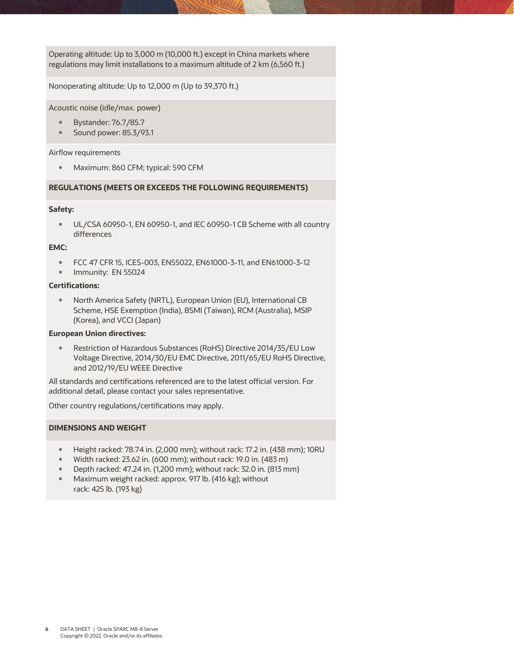Operating altitude: Up to 3,000 m (10,000 ft.) except in China markets where regulations may limit installations to a maximum altitude of 2 km (6,560 ft.)

Nonoperating altitude: Up to 12,000 m (Up to 39,370 ft.)

Acoustic noise (idle/max. power)

- Bystander: 76.7/85.7
- Sound power: 85.3/93.1

#### Airflow requirements

Maximum: 860 CFM; typical: 590 CFM

## **REGULATIONS (MEETS OR EXCEEDS THE FOLLOWING REQUIREMENTS)**

#### **Safety:**

 UL/CSA 60950-1, EN 60950-1, and IEC 60950-1 CB Scheme with all country differences

### **EMC:**

- FCC 47 CFR 15, ICES-003, EN55022, EN61000-3-11, and EN61000-3-12
- Immunity: EN 55024

#### **Certifications:**

 North America Safety (NRTL), European Union (EU), International CB Scheme, HSE Exemption (India), BSMI (Taiwan), RCM (Australia), MSIP (Korea), and VCCI (Japan)

# **European Union directives:**

 Restriction of Hazardous Substances (RoHS) Directive 2014/35/EU Low Voltage Directive, 2014/30/EU EMC Directive, 2011/65/EU RoHS Directive, and 2012/19/EU WEEE Directive

All standards and certifications referenced are to the latest official version. For additional detail, please contact your sales representative.

Other country regulations/certifications may apply.

# **DIMENSIONS AND WEIGHT**

- Height racked: 78.74 in. (2,000 mm); without rack: 17.2 in. (438 mm); 10RU
- Width racked: 23.62 in. (600 mm); without rack: 19.0 in. (483 m)
- Depth racked: 47.24 in. (1,200 mm); without rack: 32.0 in. (813 mm)
- Maximum weight racked: approx. 917 lb. (416 kg); without rack: 425 lb. (193 kg)